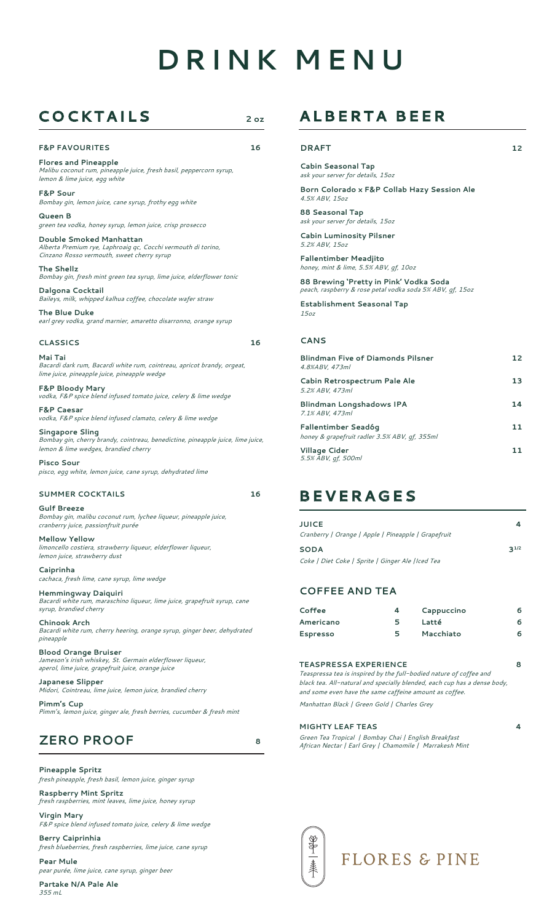## **DRINK MENU**

| <b>COCKTAILS</b>                                                                                                                           | 2 oz |
|--------------------------------------------------------------------------------------------------------------------------------------------|------|
|                                                                                                                                            |      |
| <b>F&amp;P FAVOURITES</b>                                                                                                                  | 16   |
| <b>Flores and Pineapple</b><br>Malibu coconut rum, pineapple juice, fresh basil, peppercorn syrup,<br>lemon & lime juice, egg white        |      |
| <b>F&amp;P Sour</b><br>Bombay gin, lemon juice, cane syrup, frothy egg white                                                               |      |
| Queen B<br>green tea vodka, honey syrup, lemon juice, crisp prosecco                                                                       |      |
| Double Smoked Manhattan<br>Alberta Premium rye, Laphroaig qc, Cocchi vermouth di torino,<br>Cinzano Rosso vermouth, sweet cherry syrup     |      |
| The Shellz<br>Bombay qin, fresh mint green tea syrup, lime juice, elderflower tonic                                                        |      |
| Dalgona Cocktail<br>Baileys, milk, whipped kalhua coffee, chocolate wafer straw                                                            |      |
| <b>The Blue Duke</b><br>earl grey vodka, grand marnier, amaretto disarronno, orange syrup                                                  |      |
| <b>CLASSICS</b>                                                                                                                            | 16   |
| Mai Tai<br>Bacardi dark rum, Bacardi white rum, cointreau, apricot brandy, orgeat,<br>lime juice, pineapple juice, pineapple wedge         |      |
| F&P Bloody Mary<br>vodka, F&P spice blend infused tomato juice, celery & lime wedge                                                        |      |
| <b>F&amp;P Caesar</b><br>vodka, F&P spice blend infused clamato, celery & lime wedge                                                       |      |
| Singapore Sling<br>Bombay gin, cherry brandy, cointreau, benedictine, pineapple juice, lime juice,<br>lemon & lime wedges, brandied cherry |      |
| <b>Pisco Sour</b><br>pisco, egg white, lemon juice, cane syrup, dehydrated lime                                                            |      |
| <b>SUMMER COCKTAILS</b>                                                                                                                    | 16   |

**Gulf Breeze** *Bombay gin, malibu coconut rum, lychee liqueur, pineapple juice, cranberry juice, passionfruit purée*

**Mellow Yellow** limoncello costiera, strawberry liqueur, elderflower liqueur, *lemon juice, strawberry dust*

**Caiprinha** *cachaca, fresh lime, cane syrup, lime wedge*

**Hemmingway Daiquiri** *Bacardi white rum, maraschino liqueur, lime juice, grapefruit syrup, cane syrup, brandied cherry*

**Chinook Arch** *Bacardi white rum, cherry heering, orange syrup, ginger beer, dehydrated pineapple*

**Blood Orange Bruiser** Jameson's irish whiskey, St. Germain elderflower liqueur, *aperol, lime juice, grapefruit juice, orange juice*

*fresh pineapple, fresh basil, lemon juice, ginger syrup*

*fresh raspberries, mint leaves, lime juice, honey syrup*

*F&P spice blend infused tomato juice, celery & lime wedge*

*fresh blueberries, fresh raspberries, lime juice, cane syrup*

*pear purée, lime juice, cane syrup, ginger beer*

**Japanese Slipper** *Midori, Cointreau, lime juice, lemon juice, brandied cherry*

**Pimm's Cup** *Pimm's, lemon juice, ginger ale, fresh berries, cucumber & fresh mint*

### **ZERO PROOF**

**Raspberry Mint Spritz**

**Pineapple Spritz**

**Virgin Mary**

**Pear Mule**

**Berry Caiprinhia**

**8**

**ALBERTA BEER**

#### **DRAFT 12**

**Cabin Seasonal Tap** *ask your server for details, 15oz*

**Born Colorado x F&P Collab Hazy Session Ale** *4.5% ABV, 15oz*

**88 Seasonal Tap** *ask your server for details, 15oz*

**Cabin Luminosity Pilsner** *5.2% ABV, 15oz*

**Fallentimber Meadjito** *honey, mint & lime, 5.5% ABV, gf, 10oz*

**88 Brewing 'Pretty in Pink' Vodka Soda** *peach, raspberry & rose petal vodka soda 5% ABV, gf, 15oz*

**Establishment Seasonal Tap** *15oz*

#### **CANS**

| <b>Blindman Five of Diamonds Pilsner</b><br>4.8%ABV, 473ml           | 12 |
|----------------------------------------------------------------------|----|
| Cabin Retrospectrum Pale Ale<br>5.2% ABV, 473ml                      | 13 |
| Blindman Longshadows IPA<br>7.1% ABV, 473ml                          | 14 |
| Fallentimber Seadóg<br>honey & grapefruit radler 3.5% ABV, qf, 355ml | 11 |
| Village Cider<br>5.5% ABV, qf, 500ml                                 | 11 |

#### **BEVERAGES**

| <b>JUICE</b><br>Cranberry   Orange   Apple   Pineapple   Grapefruit |      |
|---------------------------------------------------------------------|------|
| <b>SODA</b>                                                         | 21/2 |
| Coke   Diet Coke   Sprite   Ginger Ale   ced Tea                    |      |

### **COFFEE AND TEA**

| Coffee    | 4  | Cappuccino |   |
|-----------|----|------------|---|
| Americano | 5. | Latté      | 6 |
| Espresso  | 5  | Macchiato  |   |

#### **TEASPRESSA EXPERIENCE 8**

Teaspressa tea is inspired by the full-bodied nature of coffee and *black tea. All-natural and specially blended, each cup has a dense body,* and some even have the same caffeine amount as coffee. *Manhattan Black | Green Gold | Charles Grey*

#### **MIGHTY LEAF TEAS 4**

*Green Tea Tropical | Bombay Chai | English Breakfast African Nectar | Earl Grey | Chamomile | Marrakesh Mint*



**FLORES & PINE** 

**Partake N/A Pale Ale** *355 mL*

#### **2 oz**